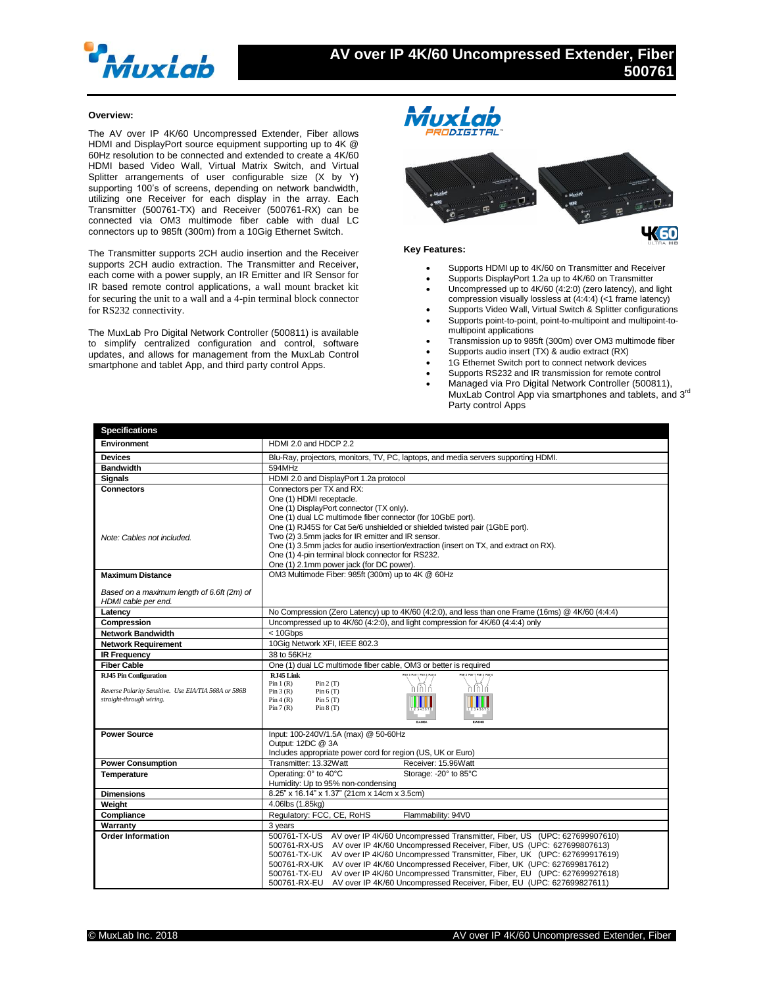

## **Overview:**

The AV over IP 4K/60 Uncompressed Extender, Fiber allows HDMI and DisplayPort source equipment supporting up to 4K @ 60Hz resolution to be connected and extended to create a 4K/60 HDMI based Video Wall, Virtual Matrix Switch, and Virtual Splitter arrangements of user configurable size (X by Y) supporting 100's of screens, depending on network bandwidth, utilizing one Receiver for each display in the array. Each Transmitter (500761-TX) and Receiver (500761-RX) can be connected via OM3 multimode fiber cable with dual LC connectors up to 985ft (300m) from a 10Gig Ethernet Switch.

The Transmitter supports 2CH audio insertion and the Receiver supports 2CH audio extraction. The Transmitter and Receiver, each come with a power supply, an IR Emitter and IR Sensor for IR based remote control applications, a wall mount bracket kit for securing the unit to a wall and a 4-pin terminal block connector for RS232 connectivity.

The MuxLab Pro Digital Network Controller (500811) is available to simplify centralized configuration and control, software updates, and allows for management from the MuxLab Control smartphone and tablet App, and third party control Apps.



## **Key Features:**

- Supports HDMI up to 4K/60 on Transmitter and Receiver
- Supports DisplayPort 1.2a up to 4K/60 on Transmitter
- Uncompressed up to 4K/60 (4:2:0) (zero latency), and light compression visually lossless at (4:4:4) (<1 frame latency)
- Supports Video Wall, Virtual Switch & Splitter configurations Supports point-to-point, point-to-multipoint and multipoint-to-
- multipoint applications
- Transmission up to 985ft (300m) over OM3 multimode fiber
- Supports audio insert (TX) & audio extract (RX)
- 1G Ethernet Switch port to connect network devices
- Supports RS232 and IR transmission for remote control
- Managed via Pro Digital Network Controller (500811), MuxLab Control App via smartphones and tablets, and 3<sup>rd</sup> Party control Apps

| <b>Specifications</b>                                |                                                                                                                                                                             |
|------------------------------------------------------|-----------------------------------------------------------------------------------------------------------------------------------------------------------------------------|
| <b>Environment</b>                                   | HDMI 2.0 and HDCP 2.2                                                                                                                                                       |
| <b>Devices</b>                                       | Blu-Ray, projectors, monitors, TV, PC, laptops, and media servers supporting HDMI.                                                                                          |
| <b>Bandwidth</b>                                     | 594MHz                                                                                                                                                                      |
| <b>Signals</b>                                       | HDMI 2.0 and DisplayPort 1.2a protocol                                                                                                                                      |
| <b>Connectors</b>                                    | Connectors per TX and RX:                                                                                                                                                   |
|                                                      | One (1) HDMI receptacle.                                                                                                                                                    |
|                                                      | One (1) DisplayPort connector (TX only).                                                                                                                                    |
|                                                      | One (1) dual LC multimode fiber connector (for 10GbE port).<br>One (1) RJ45S for Cat 5e/6 unshielded or shielded twisted pair (1GbE port).                                  |
| Note: Cables not included.                           | Two (2) 3.5mm jacks for IR emitter and IR sensor.                                                                                                                           |
|                                                      | One (1) 3.5mm jacks for audio insertion/extraction (insert on TX, and extract on RX).                                                                                       |
|                                                      | One (1) 4-pin terminal block connector for RS232.                                                                                                                           |
|                                                      | One (1) 2.1mm power jack (for DC power).                                                                                                                                    |
| <b>Maximum Distance</b>                              | OM3 Multimode Fiber: 985ft (300m) up to 4K @ 60Hz                                                                                                                           |
| Based on a maximum length of 6.6ft (2m) of           |                                                                                                                                                                             |
| HDMI cable per end.                                  |                                                                                                                                                                             |
| Latency                                              | No Compression (Zero Latency) up to 4K/60 (4:2:0), and less than one Frame (16ms) @ 4K/60 (4:4:4)                                                                           |
| Compression                                          | Uncompressed up to 4K/60 (4:2:0), and light compression for 4K/60 (4:4:4) only                                                                                              |
| <b>Network Bandwidth</b>                             | < 10Gbps                                                                                                                                                                    |
| <b>Network Requirement</b>                           | 10Gig Network XFI, IEEE 802.3                                                                                                                                               |
| <b>IR Frequency</b>                                  | 38 to 56KHz                                                                                                                                                                 |
| <b>Fiber Cable</b>                                   | One (1) dual LC multimode fiber cable, OM3 or better is required                                                                                                            |
| <b>RJ45 Pin Configuration</b>                        | RJ45 Link                                                                                                                                                                   |
| Reverse Polarity Sensitive. Use EIA/TIA 568A or 586B | Pin $1(R)$<br>Pin 2(T)<br>Pin 3(R)<br>Pin 6(T)                                                                                                                              |
| straight-through wiring.                             | Pin 4(R)<br>Pin 5(T)                                                                                                                                                        |
|                                                      | Pin 7(R)<br>Pin $8(T)$                                                                                                                                                      |
|                                                      |                                                                                                                                                                             |
| <b>Power Source</b>                                  | Input: 100-240V/1.5A (max) @ 50-60Hz                                                                                                                                        |
|                                                      | Output: 12DC @ 3A                                                                                                                                                           |
|                                                      | Includes appropriate power cord for region (US, UK or Euro)                                                                                                                 |
| <b>Power Consumption</b>                             | Transmitter: 13.32Watt<br>Receiver: 15.96Watt                                                                                                                               |
| <b>Temperature</b>                                   | Operating: 0° to 40°C<br>Storage: - 20° to 85°C                                                                                                                             |
|                                                      | Humidity: Up to 95% non-condensing                                                                                                                                          |
| <b>Dimensions</b>                                    | 8.25" x 16.14" x 1.37" (21cm x 14cm x 3.5cm)                                                                                                                                |
| Weight                                               | 4.06lbs (1.85kg)                                                                                                                                                            |
| Compliance                                           | Regulatory: FCC, CE, RoHS<br>Flammability: 94V0                                                                                                                             |
| Warranty                                             | 3 years                                                                                                                                                                     |
| <b>Order Information</b>                             | 500761-TX-US AV over IP 4K/60 Uncompressed Transmitter, Fiber, US (UPC: 627699907610)                                                                                       |
|                                                      | 500761-RX-US AV over IP 4K/60 Uncompressed Receiver, Fiber, US (UPC: 627699807613)<br>500761-TX-UK AV over IP 4K/60 Uncompressed Transmitter, Fiber, UK (UPC: 627699917619) |
|                                                      | 500761-RX-UK AV over IP 4K/60 Uncompressed Receiver, Fiber, UK (UPC: 627699817612)                                                                                          |
|                                                      | 500761-TX-EU AV over IP 4K/60 Uncompressed Transmitter, Fiber, EU (UPC: 627699927618)                                                                                       |
|                                                      | 500761-RX-EU AV over IP 4K/60 Uncompressed Receiver, Fiber, EU (UPC: 627699827611)                                                                                          |